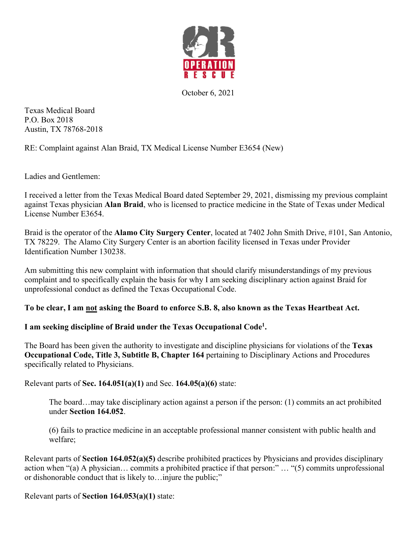

October 6, 2021

Texas Medical Board P.O. Box 2018 Austin, TX 78768-2018

RE: Complaint against Alan Braid, TX Medical License Number E3654 (New)

Ladies and Gentlemen:

I received a letter from the Texas Medical Board dated September 29, 2021, dismissing my previous complaint against Texas physician **Alan Braid**, who is licensed to practice medicine in the State of Texas under Medical License Number E3654.

Braid is the operator of the **Alamo City Surgery Center**, located at 7402 John Smith Drive, #101, San Antonio, TX 78229. The Alamo City Surgery Center is an abortion facility licensed in Texas under Provider Identification Number 130238.

Am submitting this new complaint with information that should clarify misunderstandings of my previous complaint and to specifically explain the basis for why I am seeking disciplinary action against Braid for unprofessional conduct as defined the Texas Occupational Code.

# **To be clear, I am not asking the Board to enforce S.B. 8, also known as the Texas Heartbeat Act.**

# **I am seeking discipline of Braid under the Texas Occupational Code1.**

The Board has been given the authority to investigate and discipline physicians for violations of the **Texas Occupational Code, Title 3, Subtitle B, Chapter 164** pertaining to Disciplinary Actions and Procedures specifically related to Physicians.

Relevant parts of **Sec. 164.051(a)(1)** and Sec. **164.05(a)(6)** state:

The board…may take disciplinary action against a person if the person: (1) commits an act prohibited under **Section 164.052**.

(6) fails to practice medicine in an acceptable professional manner consistent with public health and welfare;

Relevant parts of **Section 164.052(a)(5)** describe prohibited practices by Physicians and provides disciplinary action when "(a) A physician… commits a prohibited practice if that person:" … "(5) commits unprofessional or dishonorable conduct that is likely to…injure the public;"

Relevant parts of **Section 164.053(a)(1)** state: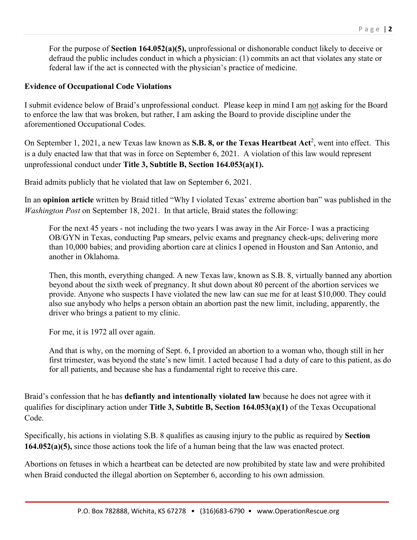For the purpose of **Section 164.052(a)(5),** unprofessional or dishonorable conduct likely to deceive or defraud the public includes conduct in which a physician: (1) commits an act that violates any state or federal law if the act is connected with the physician's practice of medicine.

### **Evidence of Occupational Code Violations**

I submit evidence below of Braid's unprofessional conduct. Please keep in mind I am not asking for the Board to enforce the law that was broken, but rather, I am asking the Board to provide discipline under the aforementioned Occupational Codes.

On September 1, 2021, a new Texas law known as **S.B. 8, or the Texas Heartbeat Act<sup>2</sup>, went into effect.** This is a duly enacted law that that was in force on September 6, 2021. A violation of this law would represent unprofessional conduct under **Title 3, Subtitle B, Section 164.053(a)(1).**

Braid admits publicly that he violated that law on September 6, 2021.

In an **opinion article** written by Braid titled "Why I violated Texas' extreme abortion ban" was published in the *Washington Post* on September 18, 2021. In that article, Braid states the following:

For the next 45 years - not including the two years I was away in the Air Force- I was a practicing OB/GYN in Texas, conducting Pap smears, pelvic exams and pregnancy check-ups; delivering more than 10,000 babies; and providing abortion care at clinics I opened in Houston and San Antonio, and another in Oklahoma.

Then, this month, everything changed. A new Texas law, known as S.B. 8, virtually banned any abortion beyond about the sixth week of pregnancy. It shut down about 80 percent of the abortion services we provide. Anyone who suspects I have violated the new law can sue me for at least \$10,000. They could also sue anybody who helps a person obtain an abortion past the new limit, including, apparently, the driver who brings a patient to my clinic.

For me, it is 1972 all over again.

And that is why, on the morning of Sept. 6, I provided an abortion to a woman who, though still in her first trimester, was beyond the state's new limit. I acted because I had a duty of care to this patient, as do for all patients, and because she has a fundamental right to receive this care.

Braid's confession that he has **defiantly and intentionally violated law** because he does not agree with it qualifies for disciplinary action under **Title 3, Subtitle B, Section 164.053(a)(1)** of the Texas Occupational Code.

Specifically, his actions in violating S.B. 8 qualifies as causing injury to the public as required by **Section 164.052(a)(5),** since those actions took the life of a human being that the law was enacted protect.

Abortions on fetuses in which a heartbeat can be detected are now prohibited by state law and were prohibited when Braid conducted the illegal abortion on September 6, according to his own admission.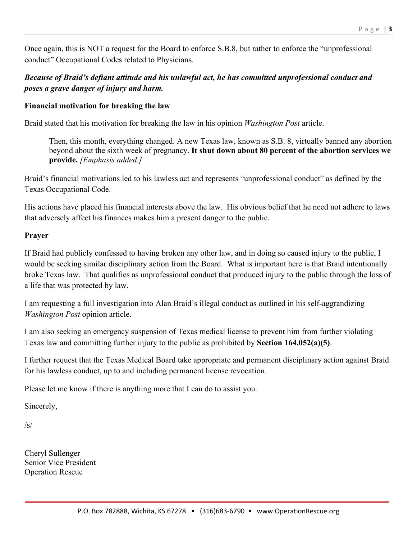Once again, this is NOT a request for the Board to enforce S.B.8, but rather to enforce the "unprofessional conduct" Occupational Codes related to Physicians.

# *Because of Braid's defiant attitude and his unlawful act, he has committed unprofessional conduct and poses a grave danger of injury and harm.*

### **Financial motivation for breaking the law**

Braid stated that his motivation for breaking the law in his opinion *Washington Post* article.

Then, this month, everything changed. A new Texas law, known as S.B. 8, virtually banned any abortion beyond about the sixth week of pregnancy. **It shut down about 80 percent of the abortion services we provide.** *[Emphasis added.]*

Braid's financial motivations led to his lawless act and represents "unprofessional conduct" as defined by the Texas Occupational Code.

His actions have placed his financial interests above the law. His obvious belief that he need not adhere to laws that adversely affect his finances makes him a present danger to the public.

#### **Prayer**

If Braid had publicly confessed to having broken any other law, and in doing so caused injury to the public, I would be seeking similar disciplinary action from the Board. What is important here is that Braid intentionally broke Texas law. That qualifies as unprofessional conduct that produced injury to the public through the loss of a life that was protected by law.

I am requesting a full investigation into Alan Braid's illegal conduct as outlined in his self-aggrandizing *Washington Post* opinion article.

I am also seeking an emergency suspension of Texas medical license to prevent him from further violating Texas law and committing further injury to the public as prohibited by **Section 164.052(a)(5)**.

I further request that the Texas Medical Board take appropriate and permanent disciplinary action against Braid for his lawless conduct, up to and including permanent license revocation.

Please let me know if there is anything more that I can do to assist you.

Sincerely,

 $/s/$ 

Cheryl Sullenger Senior Vice President Operation Rescue